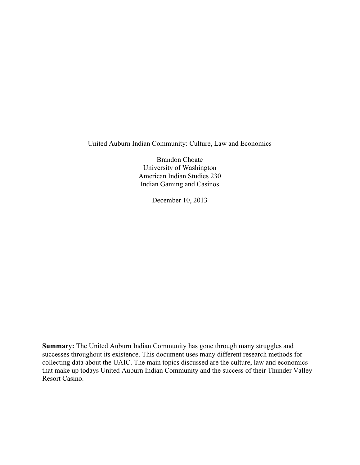United Auburn Indian Community: Culture, Law and Economics

Brandon Choate University of Washington American Indian Studies 230 Indian Gaming and Casinos

December 10, 2013

**Summary:** The United Auburn Indian Community has gone through many struggles and successes throughout its existence. This document uses many different research methods for collecting data about the UAIC. The main topics discussed are the culture, law and economics that make up todays United Auburn Indian Community and the success of their Thunder Valley Resort Casino.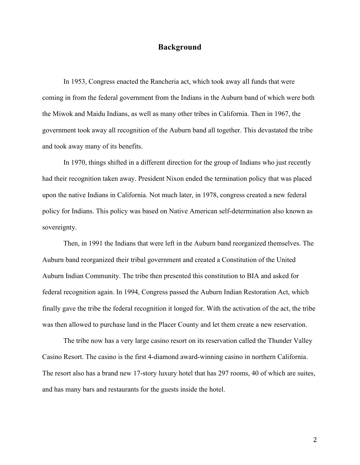## **Background**

In 1953, Congress enacted the Rancheria act, which took away all funds that were coming in from the federal government from the Indians in the Auburn band of which were both the Miwok and Maidu Indians, as well as many other tribes in California. Then in 1967, the government took away all recognition of the Auburn band all together. This devastated the tribe and took away many of its benefits.

In 1970, things shifted in a different direction for the group of Indians who just recently had their recognition taken away. President Nixon ended the termination policy that was placed upon the native Indians in California. Not much later, in 1978, congress created a new federal policy for Indians. This policy was based on Native American self-determination also known as sovereignty.

Then, in 1991 the Indians that were left in the Auburn band reorganized themselves. The Auburn band reorganized their tribal government and created a Constitution of the United Auburn Indian Community. The tribe then presented this constitution to BIA and asked for federal recognition again. In 1994, Congress passed the Auburn Indian Restoration Act, which finally gave the tribe the federal recognition it longed for. With the activation of the act, the tribe was then allowed to purchase land in the Placer County and let them create a new reservation.

The tribe now has a very large casino resort on its reservation called the Thunder Valley Casino Resort. The casino is the first 4-diamond award-winning casino in northern California. The resort also has a brand new 17-story luxury hotel that has 297 rooms, 40 of which are suites, and has many bars and restaurants for the guests inside the hotel.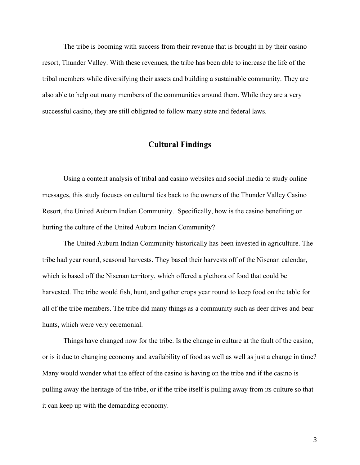The tribe is booming with success from their revenue that is brought in by their casino resort, Thunder Valley. With these revenues, the tribe has been able to increase the life of the tribal members while diversifying their assets and building a sustainable community. They are also able to help out many members of the communities around them. While they are a very successful casino, they are still obligated to follow many state and federal laws.

# **Cultural Findings**

Using a content analysis of tribal and casino websites and social media to study online messages, this study focuses on cultural ties back to the owners of the Thunder Valley Casino Resort, the United Auburn Indian Community. Specifically, how is the casino benefiting or hurting the culture of the United Auburn Indian Community?

The United Auburn Indian Community historically has been invested in agriculture. The tribe had year round, seasonal harvests. They based their harvests off of the Nisenan calendar, which is based off the Nisenan territory, which offered a plethora of food that could be harvested. The tribe would fish, hunt, and gather crops year round to keep food on the table for all of the tribe members. The tribe did many things as a community such as deer drives and bear hunts, which were very ceremonial.

Things have changed now for the tribe. Is the change in culture at the fault of the casino, or is it due to changing economy and availability of food as well as well as just a change in time? Many would wonder what the effect of the casino is having on the tribe and if the casino is pulling away the heritage of the tribe, or if the tribe itself is pulling away from its culture so that it can keep up with the demanding economy.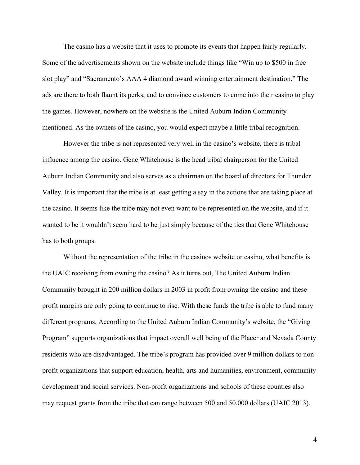The casino has a website that it uses to promote its events that happen fairly regularly. Some of the advertisements shown on the website include things like "Win up to \$500 in free slot play" and "Sacramento's AAA 4 diamond award winning entertainment destination." The ads are there to both flaunt its perks, and to convince customers to come into their casino to play the games. However, nowhere on the website is the United Auburn Indian Community mentioned. As the owners of the casino, you would expect maybe a little tribal recognition.

However the tribe is not represented very well in the casino's website, there is tribal influence among the casino. Gene Whitehouse is the head tribal chairperson for the United Auburn Indian Community and also serves as a chairman on the board of directors for Thunder Valley. It is important that the tribe is at least getting a say in the actions that are taking place at the casino. It seems like the tribe may not even want to be represented on the website, and if it wanted to be it wouldn't seem hard to be just simply because of the ties that Gene Whitehouse has to both groups.

Without the representation of the tribe in the casinos website or casino, what benefits is the UAIC receiving from owning the casino? As it turns out, The United Auburn Indian Community brought in 200 million dollars in 2003 in profit from owning the casino and these profit margins are only going to continue to rise. With these funds the tribe is able to fund many different programs. According to the United Auburn Indian Community's website, the "Giving Program" supports organizations that impact overall well being of the Placer and Nevada County residents who are disadvantaged. The tribe's program has provided over 9 million dollars to nonprofit organizations that support education, health, arts and humanities, environment, community development and social services. Non-profit organizations and schools of these counties also may request grants from the tribe that can range between 500 and 50,000 dollars (UAIC 2013).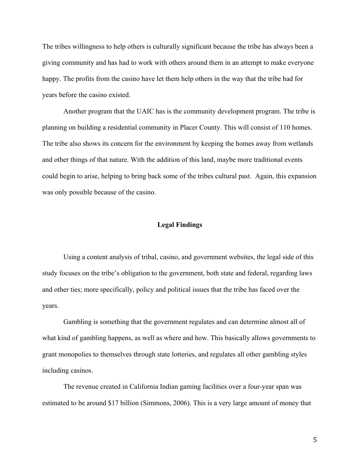The tribes willingness to help others is culturally significant because the tribe has always been a giving community and has had to work with others around them in an attempt to make everyone happy. The profits from the casino have let them help others in the way that the tribe had for years before the casino existed.

Another program that the UAIC has is the community development program. The tribe is planning on building a residential community in Placer County. This will consist of 110 homes. The tribe also shows its concern for the environment by keeping the homes away from wetlands and other things of that nature. With the addition of this land, maybe more traditional events could begin to arise, helping to bring back some of the tribes cultural past. Again, this expansion was only possible because of the casino.

#### **Legal Findings**

Using a content analysis of tribal, casino, and government websites, the legal side of this study focuses on the tribe's obligation to the government, both state and federal, regarding laws and other ties; more specifically, policy and political issues that the tribe has faced over the years.

Gambling is something that the government regulates and can determine almost all of what kind of gambling happens, as well as where and how. This basically allows governments to grant monopolies to themselves through state lotteries, and regulates all other gambling styles including casinos.

The revenue created in California Indian gaming facilities over a four-year span was estimated to be around \$17 billion (Simmons, 2006). This is a very large amount of money that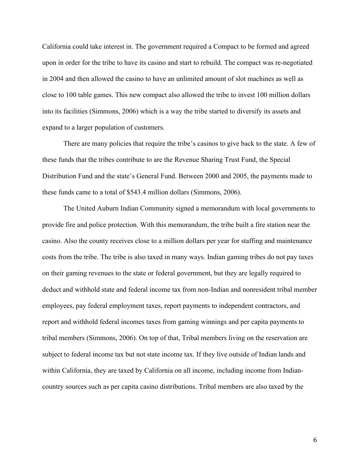California could take interest in. The government required a Compact to be formed and agreed upon in order for the tribe to have its casino and start to rebuild. The compact was re-negotiated in 2004 and then allowed the casino to have an unlimited amount of slot machines as well as close to 100 table games. This new compact also allowed the tribe to invest 100 million dollars into its facilities (Simmons, 2006) which is a way the tribe started to diversify its assets and expand to a larger population of customers.

There are many policies that require the tribe's casinos to give back to the state. A few of these funds that the tribes contribute to are the Revenue Sharing Trust Fund, the Special Distribution Fund and the state's General Fund. Between 2000 and 2005, the payments made to these funds came to a total of \$543.4 million dollars (Simmons, 2006).

The United Auburn Indian Community signed a memorandum with local governments to provide fire and police protection. With this memorandum, the tribe built a fire station near the casino. Also the county receives close to a million dollars per year for staffing and maintenance costs from the tribe. The tribe is also taxed in many ways. Indian gaming tribes do not pay taxes on their gaming revenues to the state or federal government, but they are legally required to deduct and withhold state and federal income tax from non-Indian and nonresident tribal member employees, pay federal employment taxes, report payments to independent contractors, and report and withhold federal incomes taxes from gaming winnings and per capita payments to tribal members (Simmons, 2006). On top of that, Tribal members living on the reservation are subject to federal income tax but not state income tax. If they live outside of Indian lands and within California, they are taxed by California on all income, including income from Indiancountry sources such as per capita casino distributions. Tribal members are also taxed by the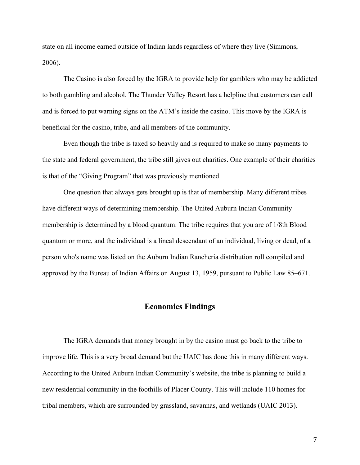state on all income earned outside of Indian lands regardless of where they live (Simmons, 2006).

The Casino is also forced by the IGRA to provide help for gamblers who may be addicted to both gambling and alcohol. The Thunder Valley Resort has a helpline that customers can call and is forced to put warning signs on the ATM's inside the casino. This move by the IGRA is beneficial for the casino, tribe, and all members of the community.

Even though the tribe is taxed so heavily and is required to make so many payments to the state and federal government, the tribe still gives out charities. One example of their charities is that of the "Giving Program" that was previously mentioned.

One question that always gets brought up is that of membership. Many different tribes have different ways of determining membership. The United Auburn Indian Community membership is determined by a blood quantum. The tribe requires that you are of 1/8th Blood quantum or more, and the individual is a lineal descendant of an individual, living or dead, of a person who's name was listed on the Auburn Indian Rancheria distribution roll compiled and approved by the Bureau of Indian Affairs on August 13, 1959, pursuant to Public Law 85–671.

### **Economics Findings**

The IGRA demands that money brought in by the casino must go back to the tribe to improve life. This is a very broad demand but the UAIC has done this in many different ways. According to the United Auburn Indian Community's website, the tribe is planning to build a new residential community in the foothills of Placer County. This will include 110 homes for tribal members, which are surrounded by grassland, savannas, and wetlands (UAIC 2013).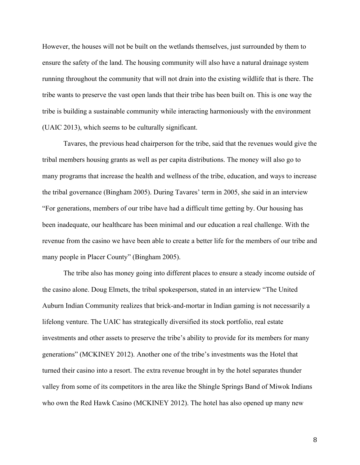However, the houses will not be built on the wetlands themselves, just surrounded by them to ensure the safety of the land. The housing community will also have a natural drainage system running throughout the community that will not drain into the existing wildlife that is there. The tribe wants to preserve the vast open lands that their tribe has been built on. This is one way the tribe is building a sustainable community while interacting harmoniously with the environment (UAIC 2013), which seems to be culturally significant.

Tavares, the previous head chairperson for the tribe, said that the revenues would give the tribal members housing grants as well as per capita distributions. The money will also go to many programs that increase the health and wellness of the tribe, education, and ways to increase the tribal governance (Bingham 2005). During Tavares' term in 2005, she said in an interview "For generations, members of our tribe have had a difficult time getting by. Our housing has been inadequate, our healthcare has been minimal and our education a real challenge. With the revenue from the casino we have been able to create a better life for the members of our tribe and many people in Placer County" (Bingham 2005).

The tribe also has money going into different places to ensure a steady income outside of the casino alone. Doug Elmets, the tribal spokesperson, stated in an interview "The United Auburn Indian Community realizes that brick-and-mortar in Indian gaming is not necessarily a lifelong venture. The UAIC has strategically diversified its stock portfolio, real estate investments and other assets to preserve the tribe's ability to provide for its members for many generations" (MCKINEY 2012). Another one of the tribe's investments was the Hotel that turned their casino into a resort. The extra revenue brought in by the hotel separates thunder valley from some of its competitors in the area like the Shingle Springs Band of Miwok Indians who own the Red Hawk Casino (MCKINEY 2012). The hotel has also opened up many new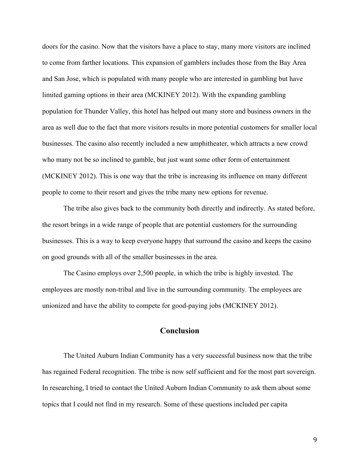doors for the casino. Now that the visitors have a place to stay, many more visitors are inclined to come from farther locations. This expansion of gamblers includes those from the Bay Area and San Jose, which is populated with many people who are interested in gambling but have limited gaming options in their area (MCKINEY 2012). With the expanding gambling population for Thunder Valley, this hotel has helped out many store and business owners in the area as well due to the fact that more visitors results in more potential customers for smaller local businesses. The casino also recently included a new amphitheater, which attracts a new crowd who many not be so inclined to gamble, but just want some other form of entertainment (MCKINEY 2012). This is one way that the tribe is increasing its influence on many different people to come to their resort and gives the tribe many new options for revenue.

The tribe also gives back to the community both directly and indirectly. As stated before, the resort brings in a wide range of people that are potential customers for the surrounding businesses. This is a way to keep everyone happy that surround the casino and keeps the casino on good grounds with all of the smaller businesses in the area.

The Casino employs over 2,500 people, in which the tribe is highly invested. The employees are mostly non-tribal and live in the surrounding community. The employees are unionized and have the ability to compete for good-paying jobs (MCKINEY 2012).

# **Conclusion**

The United Auburn Indian Community has a very successful business now that the tribe has regained Federal recognition. The tribe is now self sufficient and for the most part sovereign. In researching, I tried to contact the United Auburn Indian Community to ask them about some topics that I could not find in my research. Some of these questions included per capita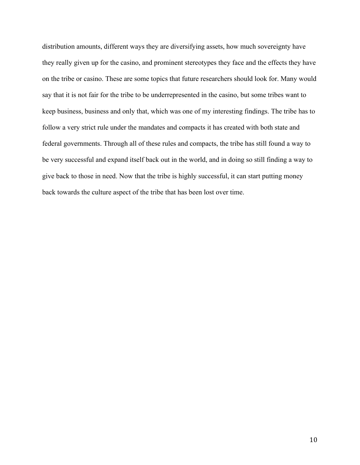distribution amounts, different ways they are diversifying assets, how much sovereignty have they really given up for the casino, and prominent stereotypes they face and the effects they have on the tribe or casino. These are some topics that future researchers should look for. Many would say that it is not fair for the tribe to be underrepresented in the casino, but some tribes want to keep business, business and only that, which was one of my interesting findings. The tribe has to follow a very strict rule under the mandates and compacts it has created with both state and federal governments. Through all of these rules and compacts, the tribe has still found a way to be very successful and expand itself back out in the world, and in doing so still finding a way to give back to those in need. Now that the tribe is highly successful, it can start putting money back towards the culture aspect of the tribe that has been lost over time.